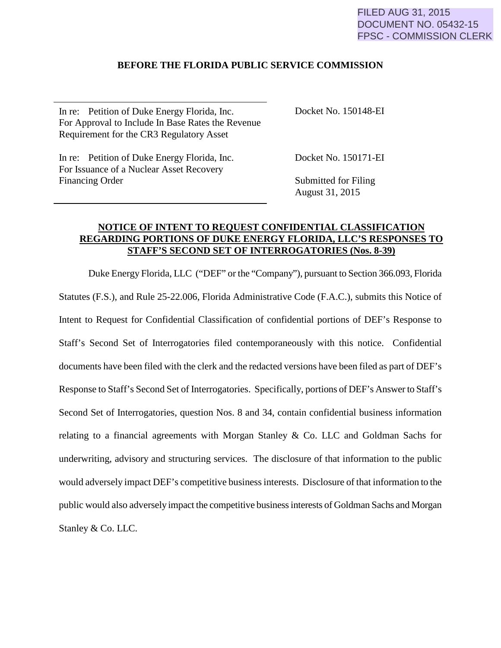## FILED AUG 31, 2015 DOCUMENT NO. 05432-15 FPSC - COMMISSION CLERK

## **BEFORE THE FLORIDA PUBLIC SERVICE COMMISSION**

In re: Petition of Duke Energy Florida, Inc. For Approval to Include In Base Rates the Revenue Requirement for the CR3 Regulatory Asset

In re: Petition of Duke Energy Florida, Inc. For Issuance of a Nuclear Asset Recovery Financing Order

Docket No. 150148-EI

Docket No. 150171-EI

Submitted for Filing August 31, 2015

## **NOTICE OF INTENT TO REQUEST CONFIDENTIAL CLASSIFICATION REGARDING PORTIONS OF DUKE ENERGY FLORIDA, LLC'S RESPONSES TO STAFF'S SECOND SET OF INTERROGATORIES (Nos. 8-39)**

Duke Energy Florida, LLC ("DEF" or the "Company"), pursuant to Section 366.093, Florida Statutes (F.S.), and Rule 25-22.006, Florida Administrative Code (F.A.C.), submits this Notice of Intent to Request for Confidential Classification of confidential portions of DEF's Response to Staff's Second Set of Interrogatories filed contemporaneously with this notice. Confidential documents have been filed with the clerk and the redacted versions have been filed as part of DEF's Response to Staff's Second Set of Interrogatories. Specifically, portions of DEF's Answer to Staff's Second Set of Interrogatories, question Nos. 8 and 34, contain confidential business information relating to a financial agreements with Morgan Stanley  $\&$  Co. LLC and Goldman Sachs for underwriting, advisory and structuring services. The disclosure of that information to the public would adversely impact DEF's competitive business interests. Disclosure of that information to the public would also adversely impact the competitive business interests of Goldman Sachs and Morgan Stanley & Co. LLC.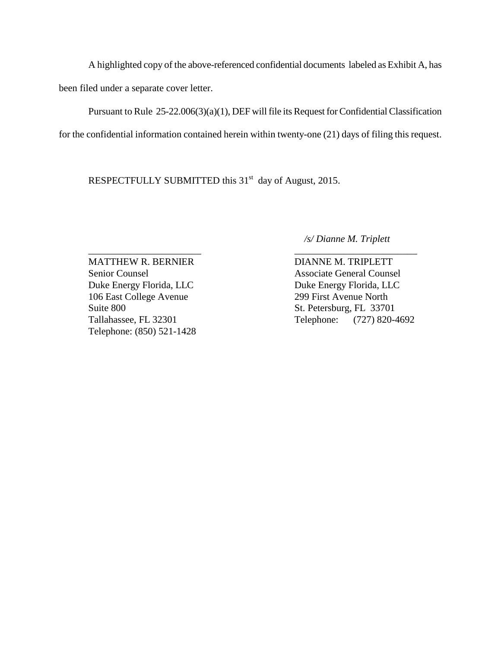A highlighted copy of the above-referenced confidential documents labeled as Exhibit A, has been filed under a separate cover letter.

 Pursuant to Rule 25-22.006(3)(a)(1), DEF will file its Request for Confidential Classification for the confidential information contained herein within twenty-one (21) days of filing this request.

RESPECTFULLY SUBMITTED this 31<sup>st</sup> day of August, 2015.

 */s/ Dianne M. Triplett* 

\_\_\_\_\_\_\_\_\_\_\_\_\_\_\_\_\_\_\_\_\_\_\_ \_\_\_\_\_\_\_\_\_\_\_\_\_\_\_\_\_\_\_\_\_\_\_\_\_ MATTHEW R. BERNIER DIANNE M. TRIPLETT Senior Counsel Associate General Counsel Duke Energy Florida, LLC<br>Duke Energy Florida, LLC 106 East College Avenue 299 First Avenue North Suite 800 St. Petersburg, FL 33701 Telephone: (850) 521-1428

Tallahassee, FL 32301 Telephone: (727) 820-4692